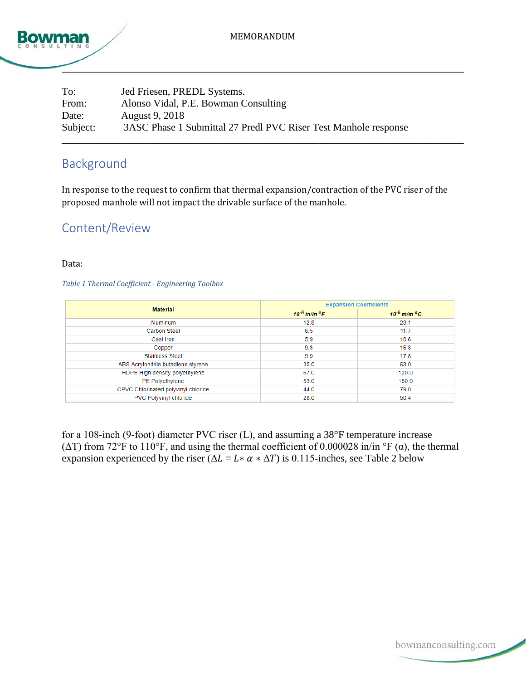

| To:      | Jed Friesen, PREDL Systems.                                     |
|----------|-----------------------------------------------------------------|
| From:    | Alonso Vidal, P.E. Bowman Consulting                            |
| Date:    | August 9, 2018                                                  |
| Subject: | 3ASC Phase 1 Submittal 27 Predl PVC Riser Test Manhole response |
|          |                                                                 |

# Background

In response to the request to confirm that thermal expansion/contraction of the PVC riser of the proposed manhole will not impact the drivable surface of the manhole.

## Content/Review

#### Data:

#### *Table 1 Thermal Coefficient - Engineering Toolbox*

|                                     | <b>Expansion Coefficients</b>  |                        |  |
|-------------------------------------|--------------------------------|------------------------|--|
| <b>Material</b>                     | $10^{-6}$ in/in <sup>0</sup> F | $10^{-6}$ m/m $^{0}$ C |  |
| Aluminum                            | 12.8                           | 23.1                   |  |
| <b>Carbon Steel</b>                 | 6.5                            | 11.7                   |  |
| Cast Iron                           | 5.9                            | 10.6                   |  |
| Copper                              | 9.3                            | 16.8                   |  |
| <b>Stainless Steel</b>              | 9.9                            | 17.8                   |  |
| ABS Acrylonitrile butadiene styrene | 35.0                           | 63.0                   |  |
| HDPE High density polyethylene      | 67.0                           | 120.0                  |  |
| PE Polyethylene                     | 83.0                           | 150.0                  |  |
| CPVC Chlorinated polyvinyl chloride | 44.0                           | 79.0                   |  |
| PVC Polyvinyl chloride              | 28.0                           | 50.4                   |  |

for a 108‐inch (9‐foot) diameter PVC riser (L), and assuming a 38°F temperature increase ( $\Delta T$ ) from 72°F to 110°F, and using the thermal coefficient of 0.000028 in/in °F ( $\alpha$ ), the thermal expansion experienced by the riser ( $\Delta L = L \times \alpha \times \Delta T$ ) is 0.115-inches, see Table 2 below

bowmanconsulting.com